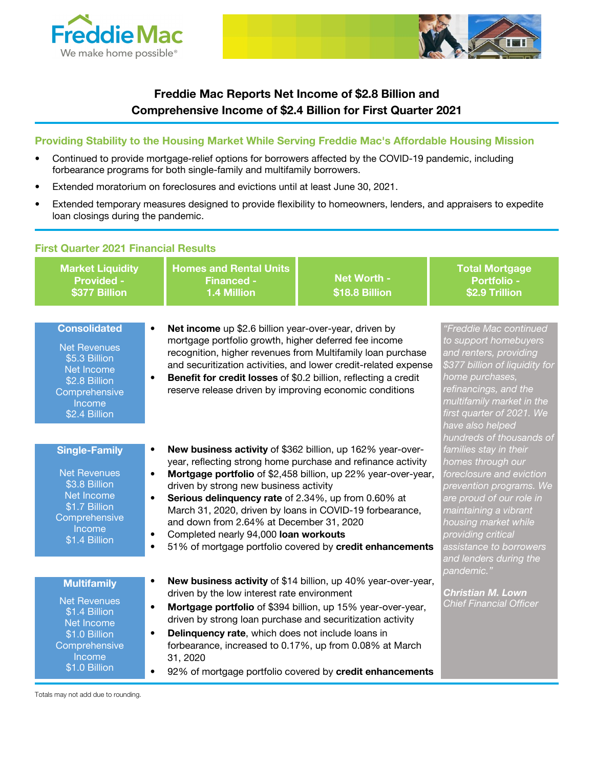



## Freddie Mac Reports Net Income of \$2.8 Billion and Comprehensive Income of \$2.4 Billion for First Quarter 2021

#### Providing Stability to the Housing Market While Serving Freddie Mac's Affordable Housing Mission

- Continued to provide mortgage-relief options for borrowers affected by the COVID-19 pandemic, including forbearance programs for both single-family and multifamily borrowers.
- Extended moratorium on foreclosures and evictions until at least June 30, 2021.
- Extended temporary measures designed to provide flexibility to homeowners, lenders, and appraisers to expedite loan closings during the pandemic.

| <b>First Quarter 2021 Financial Results</b>                                                                                             |                                                                                                                                                                                                                                                                                                                                                          |                                                                                                                                                                                           |                                                                                                                                                                                                                                                                                        |
|-----------------------------------------------------------------------------------------------------------------------------------------|----------------------------------------------------------------------------------------------------------------------------------------------------------------------------------------------------------------------------------------------------------------------------------------------------------------------------------------------------------|-------------------------------------------------------------------------------------------------------------------------------------------------------------------------------------------|----------------------------------------------------------------------------------------------------------------------------------------------------------------------------------------------------------------------------------------------------------------------------------------|
| <b>Market Liquidity</b><br><b>Provided -</b><br>\$377 Billion                                                                           | <b>Homes and Rental Units</b><br><b>Financed -</b><br>1.4 Million                                                                                                                                                                                                                                                                                        | Net Worth -<br>\$18.8 Billion                                                                                                                                                             | <b>Total Mortgage</b><br><b>Portfolio -</b><br>\$2.9 Trillion                                                                                                                                                                                                                          |
| <b>Consolidated</b><br><b>Net Revenues</b><br>\$5.3 Billion<br>Net Income<br>\$2.8 Billion<br>Comprehensive<br>Income<br>$$2.4$ Billion | Net income up \$2.6 billion year-over-year, driven by<br>$\bullet$<br>mortgage portfolio growth, higher deferred fee income<br>recognition, higher revenues from Multifamily loan purchase<br>Benefit for credit losses of \$0.2 billion, reflecting a credit<br>$\bullet$<br>reserve release driven by improving economic conditions                    | and securitization activities, and lower credit-related expense                                                                                                                           | "Freddie Mac continued<br>to support homebuyers<br>and renters, providing<br>\$377 billion of liquidity for<br>home purchases,<br>refinancings, and the<br>multifamily market in the<br>first quarter of 2021. We<br>have also helped                                                  |
| <b>Single-Family</b><br><b>Net Revenues</b><br>\$3.8 Billion<br>Net Income<br>\$1.7 Billion<br>Comprehensive<br>Income<br>\$1.4 Billion | New business activity of \$362 billion, up 162% year-over-<br>$\bullet$<br>$\bullet$<br>driven by strong new business activity<br>Serious delinquency rate of 2.34%, up from 0.60% at<br>$\bullet$<br>March 31, 2020, driven by loans in COVID-19 forbearance,<br>and down from 2.64% at December 31, 2020<br>Completed nearly 94,000 loan workouts      | year, reflecting strong home purchase and refinance activity<br>Mortgage portfolio of \$2,458 billion, up 22% year-over-year,<br>51% of mortgage portfolio covered by credit enhancements | hundreds of thousands of<br>families stay in their<br>homes through our<br>foreclosure and eviction<br>prevention programs. We<br>are proud of our role in<br>maintaining a vibrant<br>housing market while<br>providing critical<br>assistance to borrowers<br>and lenders during the |
| <b>Multifamily</b><br><b>Net Revenues</b><br>\$1.4 Billion<br>Net Income<br>\$1.0 Billion<br>Comprehensive<br>Income<br>\$1.0 Billion   | $\bullet$<br>driven by the low interest rate environment<br>Mortgage portfolio of \$394 billion, up 15% year-over-year,<br>$\bullet$<br>driven by strong loan purchase and securitization activity<br>Delinquency rate, which does not include loans in<br>$\bullet$<br>forbearance, increased to 0.17%, up from 0.08% at March<br>31, 2020<br>$\bullet$ | New business activity of \$14 billion, up 40% year-over-year,<br>92% of mortgage portfolio covered by credit enhancements                                                                 | pandemic."<br>Christian M. Lown<br><b>Chief Financial Officer</b>                                                                                                                                                                                                                      |

Totals may not add due to rounding.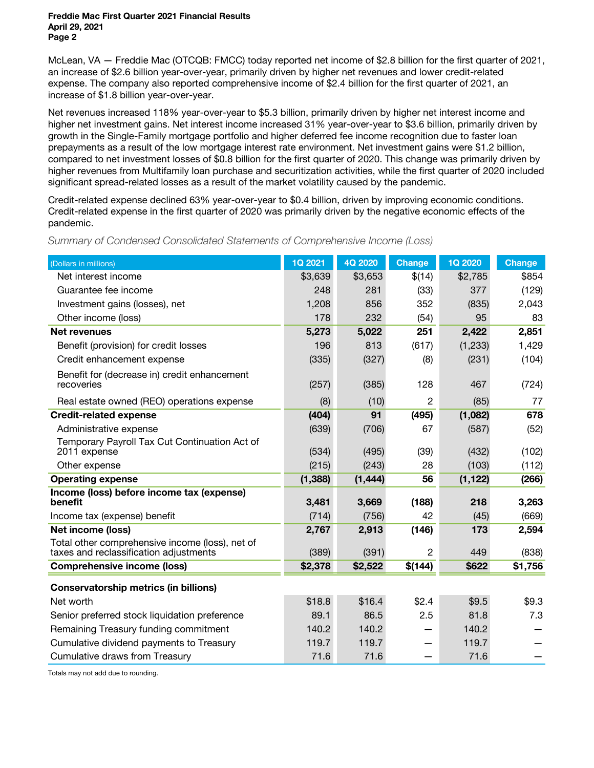Freddie Mac First Quarter 2021 Financial Results April 29, 2021 Page 2

McLean, VA — Freddie Mac (OTCQB: FMCC) today reported net income of \$2.8 billion for the first quarter of 2021, an increase of \$2.6 billion year-over-year, primarily driven by higher net revenues and lower credit-related expense. The company also reported comprehensive income of \$2.4 billion for the first quarter of 2021, an increase of \$1.8 billion year-over-year.

Net revenues increased 118% year-over-year to \$5.3 billion, primarily driven by higher net interest income and higher net investment gains. Net interest income increased 31% year-over-year to \$3.6 billion, primarily driven by growth in the Single-Family mortgage portfolio and higher deferred fee income recognition due to faster loan prepayments as a result of the low mortgage interest rate environment. Net investment gains were \$1.2 billion, compared to net investment losses of \$0.8 billion for the first quarter of 2020. This change was primarily driven by higher revenues from Multifamily loan purchase and securitization activities, while the first quarter of 2020 included significant spread-related losses as a result of the market volatility caused by the pandemic.

Credit-related expense declined 63% year-over-year to \$0.4 billion, driven by improving economic conditions. Credit-related expense in the first quarter of 2020 was primarily driven by the negative economic effects of the pandemic.

| (Dollars in millions)                                                                     | 1Q 2021  | 4Q 2020  | <b>Change</b> | 1Q 2020  | <b>Change</b> |
|-------------------------------------------------------------------------------------------|----------|----------|---------------|----------|---------------|
| Net interest income                                                                       | \$3,639  | \$3,653  | \$(14)        | \$2,785  | \$854         |
| Guarantee fee income                                                                      | 248      | 281      | (33)          | 377      | (129)         |
| Investment gains (losses), net                                                            | 1,208    | 856      | 352           | (835)    | 2,043         |
| Other income (loss)                                                                       | 178      | 232      | (54)          | 95       | 83            |
| <b>Net revenues</b>                                                                       | 5,273    | 5,022    | 251           | 2,422    | 2,851         |
| Benefit (provision) for credit losses                                                     | 196      | 813      | (617)         | (1, 233) | 1,429         |
| Credit enhancement expense                                                                | (335)    | (327)    | (8)           | (231)    | (104)         |
| Benefit for (decrease in) credit enhancement<br>recoveries                                | (257)    | (385)    | 128           | 467      | (724)         |
| Real estate owned (REO) operations expense                                                | (8)      | (10)     | 2             | (85)     | 77            |
| <b>Credit-related expense</b>                                                             | (404)    | 91       | (495)         | (1,082)  | 678           |
| Administrative expense                                                                    | (639)    | (706)    | 67            | (587)    | (52)          |
| Temporary Payroll Tax Cut Continuation Act of<br>2011 expense                             | (534)    | (495)    | (39)          | (432)    | (102)         |
| Other expense                                                                             | (215)    | (243)    | 28            | (103)    | (112)         |
| <b>Operating expense</b>                                                                  | (1, 388) | (1, 444) | 56            | (1, 122) | (266)         |
| Income (loss) before income tax (expense)<br>benefit                                      | 3,481    | 3,669    | (188)         | 218      | 3,263         |
| Income tax (expense) benefit                                                              | (714)    | (756)    | 42            | (45)     | (669)         |
| <b>Net income (loss)</b>                                                                  | 2,767    | 2,913    | (146)         | 173      | 2,594         |
| Total other comprehensive income (loss), net of<br>taxes and reclassification adjustments | (389)    | (391)    | 2             | 449      | (838)         |
| <b>Comprehensive income (loss)</b>                                                        | \$2,378  | \$2,522  | \$(144)       | \$622    | \$1,756       |
| <b>Conservatorship metrics (in billions)</b>                                              |          |          |               |          |               |
| Net worth                                                                                 | \$18.8   | \$16.4   | \$2.4         | \$9.5    | \$9.3         |
| Senior preferred stock liquidation preference                                             | 89.1     | 86.5     | 2.5           | 81.8     | 7.3           |
| Remaining Treasury funding commitment                                                     | 140.2    | 140.2    |               | 140.2    |               |
| Cumulative dividend payments to Treasury                                                  | 119.7    | 119.7    |               | 119.7    |               |
| Cumulative draws from Treasury                                                            | 71.6     | 71.6     |               | 71.6     |               |

Summary of Condensed Consolidated Statements of Comprehensive Income (Loss)

Totals may not add due to rounding.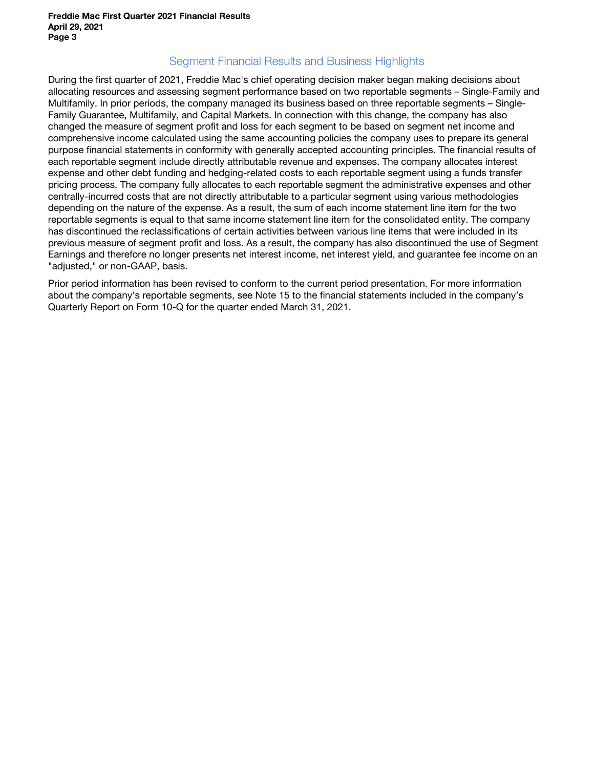## Segment Financial Results and Business Highlights

During the first quarter of 2021, Freddie Mac's chief operating decision maker began making decisions about allocating resources and assessing segment performance based on two reportable segments – Single-Family and Multifamily. In prior periods, the company managed its business based on three reportable segments – Single-Family Guarantee, Multifamily, and Capital Markets. In connection with this change, the company has also changed the measure of segment profit and loss for each segment to be based on segment net income and comprehensive income calculated using the same accounting policies the company uses to prepare its general purpose financial statements in conformity with generally accepted accounting principles. The financial results of each reportable segment include directly attributable revenue and expenses. The company allocates interest expense and other debt funding and hedging-related costs to each reportable segment using a funds transfer pricing process. The company fully allocates to each reportable segment the administrative expenses and other centrally-incurred costs that are not directly attributable to a particular segment using various methodologies depending on the nature of the expense. As a result, the sum of each income statement line item for the two reportable segments is equal to that same income statement line item for the consolidated entity. The company has discontinued the reclassifications of certain activities between various line items that were included in its previous measure of segment profit and loss. As a result, the company has also discontinued the use of Segment Earnings and therefore no longer presents net interest income, net interest yield, and guarantee fee income on an "adjusted," or non-GAAP, basis.

Prior period information has been revised to conform to the current period presentation. For more information about the company's reportable segments, see Note 15 to the financial statements included in the company's Quarterly Report on Form 10-Q for the quarter ended March 31, 2021.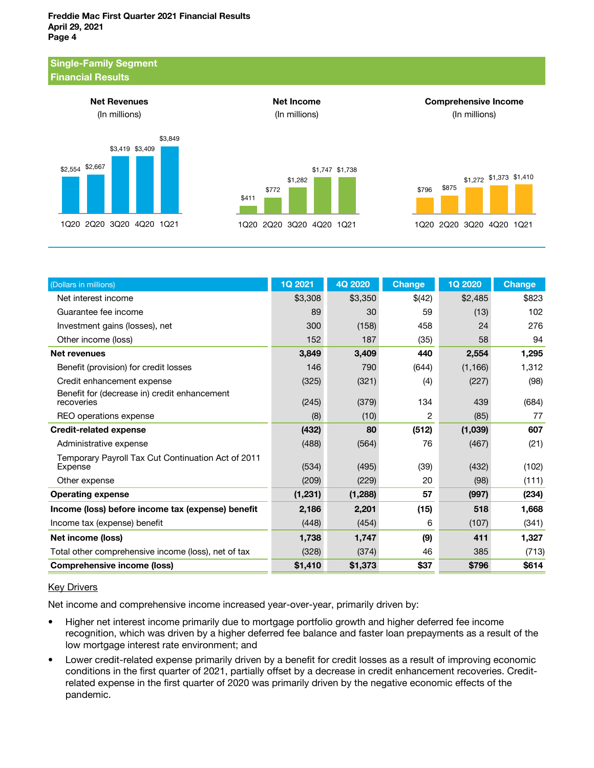

| (Dollars in millions)                                         | <b>1Q 2021</b> | 4Q 2020  | <b>Change</b> | <b>1Q 2020</b> | <b>Change</b> |
|---------------------------------------------------------------|----------------|----------|---------------|----------------|---------------|
| Net interest income                                           | \$3,308        | \$3,350  | \$(42)        | \$2,485        | \$823         |
| Guarantee fee income                                          | 89             | 30       | 59            | (13)           | 102           |
| Investment gains (losses), net                                | 300            | (158)    | 458           | 24             | 276           |
| Other income (loss)                                           | 152            | 187      | (35)          | 58             | 94            |
| <b>Net revenues</b>                                           | 3,849          | 3,409    | 440           | 2,554          | 1,295         |
| Benefit (provision) for credit losses                         | 146            | 790      | (644)         | (1, 166)       | 1,312         |
| Credit enhancement expense                                    | (325)          | (321)    | (4)           | (227)          | (98)          |
| Benefit for (decrease in) credit enhancement<br>recoveries    | (245)          | (379)    | 134           | 439            | (684)         |
| REO operations expense                                        | (8)            | (10)     | 2             | (85)           | 77            |
| <b>Credit-related expense</b>                                 | (432)          | 80       | (512)         | (1,039)        | 607           |
| Administrative expense                                        | (488)          | (564)    | 76            | (467)          | (21)          |
| Temporary Payroll Tax Cut Continuation Act of 2011<br>Expense | (534)          | (495)    | (39)          | (432)          | (102)         |
| Other expense                                                 | (209)          | (229)    | 20            | (98)           | (111)         |
| <b>Operating expense</b>                                      | (1, 231)       | (1, 288) | 57            | (997)          | (234)         |
| Income (loss) before income tax (expense) benefit             | 2,186          | 2,201    | (15)          | 518            | 1,668         |
| Income tax (expense) benefit                                  | (448)          | (454)    | 6             | (107)          | (341)         |
| Net income (loss)                                             | 1,738          | 1,747    | (9)           | 411            | 1,327         |
| Total other comprehensive income (loss), net of tax           | (328)          | (374)    | 46            | 385            | (713)         |
| <b>Comprehensive income (loss)</b>                            | \$1,410        | \$1,373  | \$37          | \$796          | \$614         |

#### **Key Drivers**

Net income and comprehensive income increased year-over-year, primarily driven by:

- Higher net interest income primarily due to mortgage portfolio growth and higher deferred fee income recognition, which was driven by a higher deferred fee balance and faster loan prepayments as a result of the low mortgage interest rate environment; and
- Lower credit-related expense primarily driven by a benefit for credit losses as a result of improving economic conditions in the first quarter of 2021, partially offset by a decrease in credit enhancement recoveries. Creditrelated expense in the first quarter of 2020 was primarily driven by the negative economic effects of the pandemic.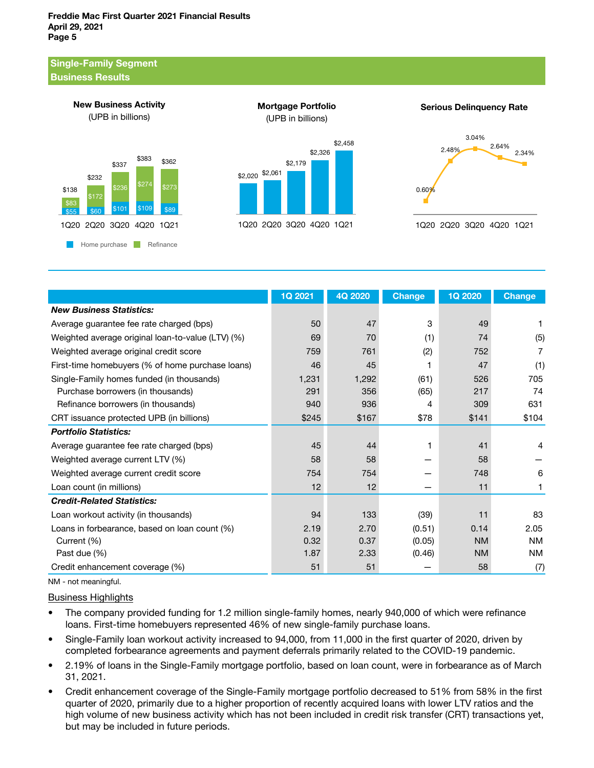#### Single-Family Segment Business Results



Mortgage Portfolio (UPB in billions)

\$2,179

1Q20 2Q20 3Q20 4Q20 1Q21

\$2,326

\$2,458

\$2,020 \$2,061

Serious Delinquency Rate





|                                                   | 1Q 2021 | 4Q 2020 | <b>Change</b> | <b>1Q 2020</b> | <b>Change</b> |
|---------------------------------------------------|---------|---------|---------------|----------------|---------------|
| <b>New Business Statistics:</b>                   |         |         |               |                |               |
| Average guarantee fee rate charged (bps)          | 50      | 47      | 3             | 49             |               |
| Weighted average original loan-to-value (LTV) (%) | 69      | 70      | (1)           | 74             | (5)           |
| Weighted average original credit score            | 759     | 761     | (2)           | 752            | 7             |
| First-time homebuyers (% of home purchase loans)  | 46      | 45      | 1             | 47             | (1)           |
| Single-Family homes funded (in thousands)         | 1,231   | 1,292   | (61)          | 526            | 705           |
| Purchase borrowers (in thousands)                 | 291     | 356     | (65)          | 217            | 74            |
| Refinance borrowers (in thousands)                | 940     | 936     | 4             | 309            | 631           |
| CRT issuance protected UPB (in billions)          | \$245   | \$167   | \$78          | \$141          | \$104         |
| <b>Portfolio Statistics:</b>                      |         |         |               |                |               |
| Average guarantee fee rate charged (bps)          | 45      | 44      |               | 41             | 4             |
| Weighted average current LTV (%)                  | 58      | 58      |               | 58             |               |
| Weighted average current credit score             | 754     | 754     |               | 748            | 6             |
| Loan count (in millions)                          | 12      | 12      |               | 11             |               |
| <b>Credit-Related Statistics:</b>                 |         |         |               |                |               |
| Loan workout activity (in thousands)              | 94      | 133     | (39)          | 11             | 83            |
| Loans in forbearance, based on loan count (%)     | 2.19    | 2.70    | (0.51)        | 0.14           | 2.05          |
| Current (%)                                       | 0.32    | 0.37    | (0.05)        | <b>NM</b>      | <b>NM</b>     |
| Past due (%)                                      | 1.87    | 2.33    | (0.46)        | <b>NM</b>      | <b>NM</b>     |
| Credit enhancement coverage (%)                   | 51      | 51      |               | 58             | (7)           |

NM - not meaningful.

#### Business Highlights

- The company provided funding for 1.2 million single-family homes, nearly 940,000 of which were refinance loans. First-time homebuyers represented 46% of new single-family purchase loans.
- Single-Family loan workout activity increased to 94,000, from 11,000 in the first quarter of 2020, driven by completed forbearance agreements and payment deferrals primarily related to the COVID-19 pandemic.
- 2.19% of loans in the Single-Family mortgage portfolio, based on loan count, were in forbearance as of March 31, 2021.
- Credit enhancement coverage of the Single-Family mortgage portfolio decreased to 51% from 58% in the first quarter of 2020, primarily due to a higher proportion of recently acquired loans with lower LTV ratios and the high volume of new business activity which has not been included in credit risk transfer (CRT) transactions yet, but may be included in future periods.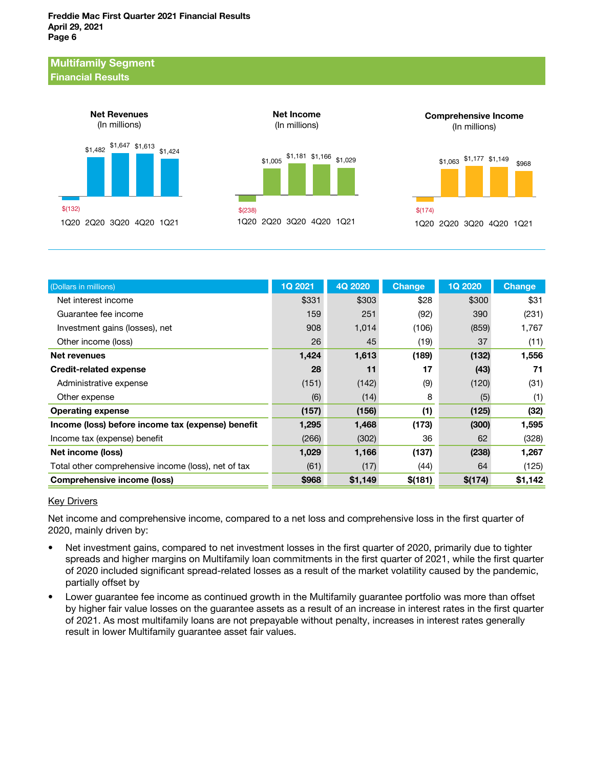#### Multifamily Segment Financial Results



| (Dollars in millions)                               | <b>1Q 2021</b> | 4Q 2020 | <b>Change</b> | <b>1Q 2020</b> | <b>Change</b> |
|-----------------------------------------------------|----------------|---------|---------------|----------------|---------------|
| Net interest income                                 | \$331          | \$303   | \$28          | \$300          | \$31          |
| Guarantee fee income                                | 159            | 251     | (92)          | 390            | (231)         |
| Investment gains (losses), net                      | 908            | 1,014   | (106)         | (859)          | 1,767         |
| Other income (loss)                                 | 26             | 45      | (19)          | 37             | (11)          |
| Net revenues                                        | 1,424          | 1,613   | (189)         | (132)          | 1,556         |
| <b>Credit-related expense</b>                       | 28             | 11      | 17            | (43)           | 71            |
| Administrative expense                              | (151)          | (142)   | (9)           | (120)          | (31)          |
| Other expense                                       | (6)            | (14)    | 8             | (5)            | (1)           |
| <b>Operating expense</b>                            | (157)          | (156)   | (1)           | (125)          | (32)          |
| Income (loss) before income tax (expense) benefit   | 1,295          | 1,468   | (173)         | (300)          | 1,595         |
| Income tax (expense) benefit                        | (266)          | (302)   | 36            | 62             | (328)         |
| Net income (loss)                                   | 1,029          | 1,166   | (137)         | (238)          | 1,267         |
| Total other comprehensive income (loss), net of tax | (61)           | (17)    | (44)          | 64             | (125)         |
| Comprehensive income (loss)                         | \$968          | \$1,149 | \$(181)       | \$(174)        | \$1,142       |

#### **Key Drivers**

Net income and comprehensive income, compared to a net loss and comprehensive loss in the first quarter of 2020, mainly driven by:

- Net investment gains, compared to net investment losses in the first quarter of 2020, primarily due to tighter spreads and higher margins on Multifamily loan commitments in the first quarter of 2021, while the first quarter of 2020 included significant spread-related losses as a result of the market volatility caused by the pandemic, partially offset by
- Lower guarantee fee income as continued growth in the Multifamily guarantee portfolio was more than offset by higher fair value losses on the guarantee assets as a result of an increase in interest rates in the first quarter of 2021. As most multifamily loans are not prepayable without penalty, increases in interest rates generally result in lower Multifamily guarantee asset fair values.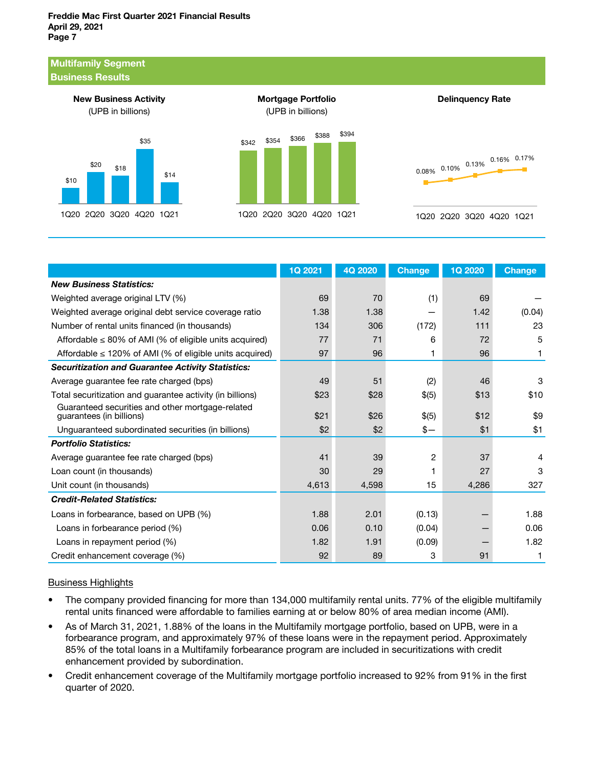#### Freddie Mac First Quarter 2021 Financial Results April 29, 2021 Page 7

#### Multifamily Segment Business Results



1Q20 2Q20 3Q20 4Q20 1Q21

|                                                                              | 1Q 2021 | 4Q 2020 | <b>Change</b> | <b>1Q 2020</b> | <b>Change</b> |
|------------------------------------------------------------------------------|---------|---------|---------------|----------------|---------------|
| <b>New Business Statistics:</b>                                              |         |         |               |                |               |
| Weighted average original LTV (%)                                            | 69      | 70      | (1)           | 69             |               |
| Weighted average original debt service coverage ratio                        | 1.38    | 1.38    |               | 1.42           | (0.04)        |
| Number of rental units financed (in thousands)                               | 134     | 306     | (172)         | 111            | 23            |
| Affordable $\leq 80\%$ of AMI (% of eligible units acquired)                 | 77      | 71      | 6             | 72             | 5             |
| Affordable $\leq$ 120% of AMI (% of eligible units acquired)                 | 97      | 96      | 1             | 96             | 1             |
| <b>Securitization and Guarantee Activity Statistics:</b>                     |         |         |               |                |               |
| Average guarantee fee rate charged (bps)                                     | 49      | 51      | (2)           | 46             | 3             |
| Total securitization and guarantee activity (in billions)                    | \$23    | \$28    | \$(5)         | \$13           | \$10          |
| Guaranteed securities and other mortgage-related<br>guarantees (in billions) | \$21    | \$26    | \$(5)         | \$12           | \$9           |
| Unguaranteed subordinated securities (in billions)                           | \$2     | \$2     | $s-$          | \$1            | \$1           |
| <b>Portfolio Statistics:</b>                                                 |         |         |               |                |               |
| Average quarantee fee rate charged (bps)                                     | 41      | 39      | 2             | 37             | 4             |
| Loan count (in thousands)                                                    | 30      | 29      | 1             | 27             | 3             |
| Unit count (in thousands)                                                    | 4,613   | 4,598   | 15            | 4,286          | 327           |
| <b>Credit-Related Statistics:</b>                                            |         |         |               |                |               |
| Loans in forbearance, based on UPB (%)                                       | 1.88    | 2.01    | (0.13)        |                | 1.88          |
| Loans in forbearance period (%)                                              | 0.06    | 0.10    | (0.04)        |                | 0.06          |
| Loans in repayment period (%)                                                | 1.82    | 1.91    | (0.09)        |                | 1.82          |
| Credit enhancement coverage (%)                                              | 92      | 89      | 3             | 91             |               |

#### Business Highlights

- The company provided financing for more than 134,000 multifamily rental units. 77% of the eligible multifamily rental units financed were affordable to families earning at or below 80% of area median income (AMI).
- As of March 31, 2021, 1.88% of the loans in the Multifamily mortgage portfolio, based on UPB, were in a forbearance program, and approximately 97% of these loans were in the repayment period. Approximately 85% of the total loans in a Multifamily forbearance program are included in securitizations with credit enhancement provided by subordination.
- Credit enhancement coverage of the Multifamily mortgage portfolio increased to 92% from 91% in the first quarter of 2020.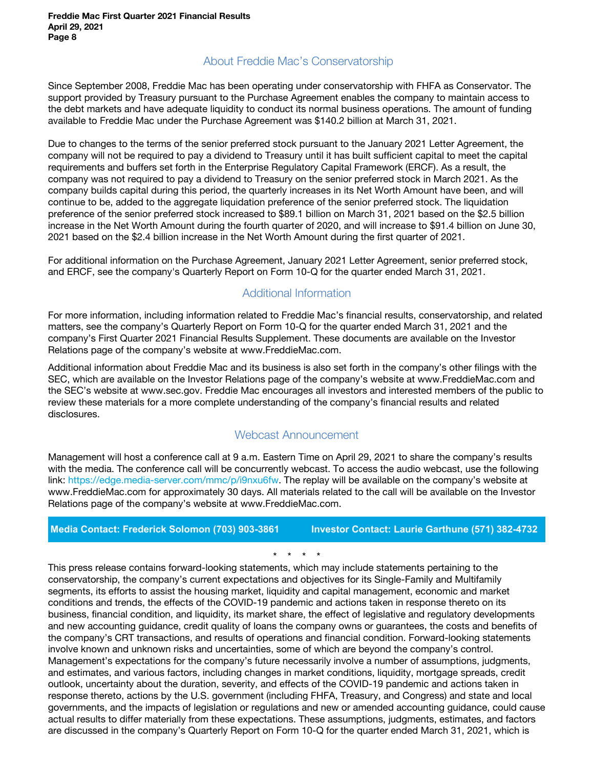## About Freddie Mac's Conservatorship

Since September 2008, Freddie Mac has been operating under conservatorship with FHFA as Conservator. The support provided by Treasury pursuant to the Purchase Agreement enables the company to maintain access to the debt markets and have adequate liquidity to conduct its normal business operations. The amount of funding available to Freddie Mac under the Purchase Agreement was \$140.2 billion at March 31, 2021.

Due to changes to the terms of the senior preferred stock pursuant to the January 2021 Letter Agreement, the company will not be required to pay a dividend to Treasury until it has built sufficient capital to meet the capital requirements and buffers set forth in the Enterprise Regulatory Capital Framework (ERCF). As a result, the company was not required to pay a dividend to Treasury on the senior preferred stock in March 2021. As the company builds capital during this period, the quarterly increases in its Net Worth Amount have been, and will continue to be, added to the aggregate liquidation preference of the senior preferred stock. The liquidation preference of the senior preferred stock increased to \$89.1 billion on March 31, 2021 based on the \$2.5 billion increase in the Net Worth Amount during the fourth quarter of 2020, and will increase to \$91.4 billion on June 30, 2021 based on the \$2.4 billion increase in the Net Worth Amount during the first quarter of 2021.

For additional information on the Purchase Agreement, January 2021 Letter Agreement, senior preferred stock, and ERCF, see the company's Quarterly Report on Form 10-Q for the quarter ended March 31, 2021.

## Additional Information

For more information, including information related to Freddie Mac's financial results, conservatorship, and related matters, see the company's Quarterly Report on Form 10-Q for the quarter ended March 31, 2021 and the company's First Quarter 2021 Financial Results Supplement. These documents are available on the Investor Relations page of the company's website at www.FreddieMac.com.

Additional information about Freddie Mac and its business is also set forth in the company's other filings with the SEC, which are available on the Investor Relations page of the company's website at www.FreddieMac.com and the SEC's website at www.sec.gov. Freddie Mac encourages all investors and interested members of the public to review these materials for a more complete understanding of the company's financial results and related disclosures.

#### Webcast Announcement

Management will host a conference call at 9 a.m. Eastern Time on April 29, 2021 to share the company's results with the media. The conference call will be concurrently webcast. To access the audio webcast, use the following link: https://edge.media-server.com/mmc/p/i9nxu6fw. The replay will be available on the company's website at www.FreddieMac.com for approximately 30 days. All materials related to the call will be available on the Investor Relations page of the company's website at www.FreddieMac.com.

**Media Contact: Frederick Solomon (703) 903-3861 Investor Contact: Laurie Garthune (571) 382-4732** 

\* \* \* \*

This press release contains forward-looking statements, which may include statements pertaining to the conservatorship, the company's current expectations and objectives for its Single-Family and Multifamily segments, its efforts to assist the housing market, liquidity and capital management, economic and market conditions and trends, the effects of the COVID-19 pandemic and actions taken in response thereto on its business, financial condition, and liquidity, its market share, the effect of legislative and regulatory developments and new accounting guidance, credit quality of loans the company owns or guarantees, the costs and benefits of the company's CRT transactions, and results of operations and financial condition. Forward-looking statements involve known and unknown risks and uncertainties, some of which are beyond the company's control. Management's expectations for the company's future necessarily involve a number of assumptions, judgments, and estimates, and various factors, including changes in market conditions, liquidity, mortgage spreads, credit outlook, uncertainty about the duration, severity, and effects of the COVID-19 pandemic and actions taken in response thereto, actions by the U.S. government (including FHFA, Treasury, and Congress) and state and local governments, and the impacts of legislation or regulations and new or amended accounting guidance, could cause actual results to differ materially from these expectations. These assumptions, judgments, estimates, and factors are discussed in the company's Quarterly Report on Form 10-Q for the quarter ended March 31, 2021, which is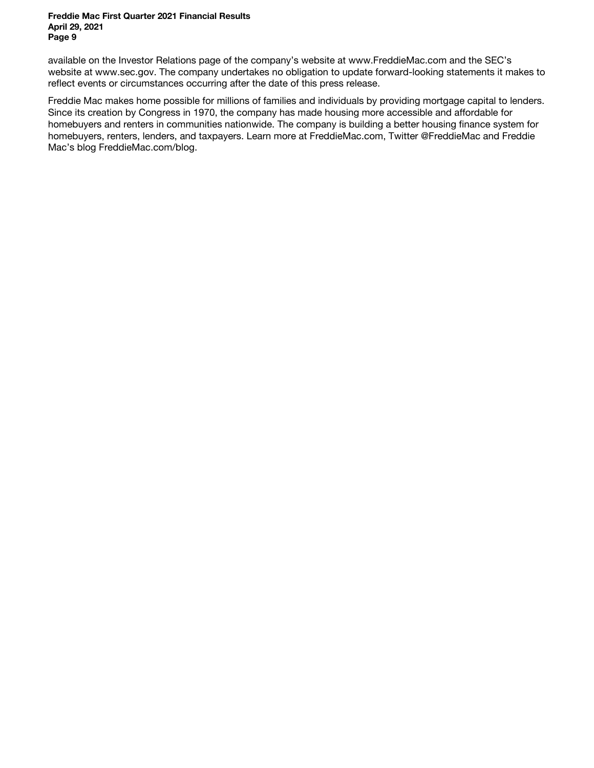#### Freddie Mac First Quarter 2021 Financial Results April 29, 2021 Page 9

available on the Investor Relations page of the company's website at www.FreddieMac.com and the SEC's website at www.sec.gov. The company undertakes no obligation to update forward-looking statements it makes to reflect events or circumstances occurring after the date of this press release.

Freddie Mac makes home possible for millions of families and individuals by providing mortgage capital to lenders. Since its creation by Congress in 1970, the company has made housing more accessible and affordable for homebuyers and renters in communities nationwide. The company is building a better housing finance system for homebuyers, renters, lenders, and taxpayers. Learn more at FreddieMac.com, Twitter @FreddieMac and Freddie Mac's blog FreddieMac.com/blog.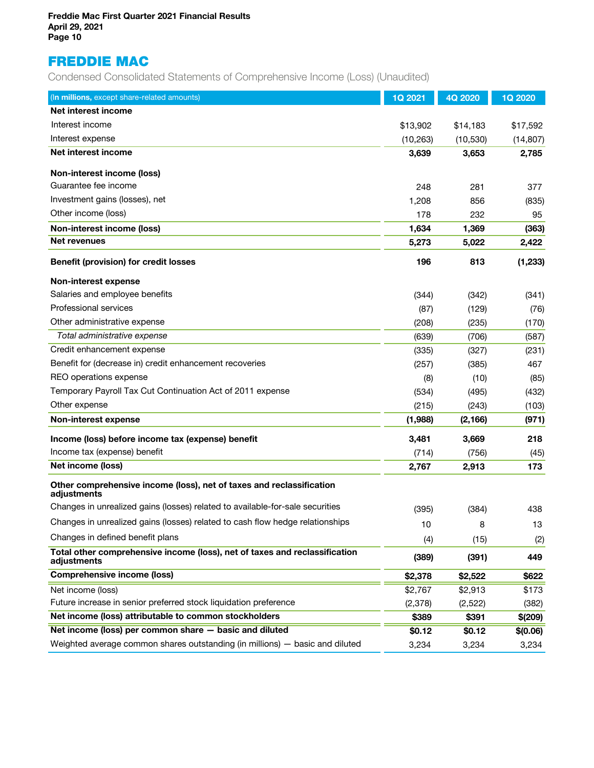# FREDDIE MAC

Condensed Consolidated Statements of Comprehensive Income (Loss) (Unaudited)

| (In millions, except share-related amounts)                                               | <b>1Q 2021</b> | 4Q 2020   | 1Q 2020   |
|-------------------------------------------------------------------------------------------|----------------|-----------|-----------|
| Net interest income                                                                       |                |           |           |
| Interest income                                                                           | \$13,902       | \$14,183  | \$17,592  |
| Interest expense                                                                          | (10, 263)      | (10, 530) | (14, 807) |
| Net interest income                                                                       | 3,639          | 3,653     | 2,785     |
| Non-interest income (loss)                                                                |                |           |           |
| Guarantee fee income                                                                      | 248            | 281       | 377       |
| Investment gains (losses), net                                                            | 1,208          | 856       | (835)     |
| Other income (loss)                                                                       | 178            | 232       | 95        |
| Non-interest income (loss)                                                                | 1,634          | 1,369     | (363)     |
| Net revenues                                                                              | 5,273          | 5,022     | 2,422     |
| <b>Benefit (provision) for credit losses</b>                                              | 196            | 813       | (1, 233)  |
| Non-interest expense                                                                      |                |           |           |
| Salaries and employee benefits                                                            | (344)          | (342)     | (341)     |
| Professional services                                                                     | (87)           | (129)     | (76)      |
| Other administrative expense                                                              | (208)          | (235)     | (170)     |
| Total administrative expense                                                              | (639)          | (706)     | (587)     |
| Credit enhancement expense                                                                | (335)          | (327)     | (231)     |
| Benefit for (decrease in) credit enhancement recoveries                                   | (257)          | (385)     | 467       |
| REO operations expense                                                                    | (8)            | (10)      | (85)      |
| Temporary Payroll Tax Cut Continuation Act of 2011 expense                                | (534)          | (495)     | (432)     |
| Other expense                                                                             | (215)          | (243)     | (103)     |
| Non-interest expense                                                                      | (1,988)        | (2, 166)  | (971)     |
| Income (loss) before income tax (expense) benefit                                         | 3,481          | 3,669     | 218       |
| Income tax (expense) benefit                                                              | (714)          | (756)     | (45)      |
| Net income (loss)                                                                         | 2,767          | 2,913     | 173       |
| Other comprehensive income (loss), net of taxes and reclassification<br>adjustments       |                |           |           |
| Changes in unrealized gains (losses) related to available-for-sale securities             | (395)          | (384)     | 438       |
| Changes in unrealized gains (losses) related to cash flow hedge relationships             | 10             | 8         | 13        |
| Changes in defined benefit plans                                                          | (4)            | (15)      | (2)       |
| Total other comprehensive income (loss), net of taxes and reclassification<br>adjustments | (389)          | (391)     | 449       |
| <b>Comprehensive income (loss)</b>                                                        | \$2,378        | \$2,522   | \$622     |
| Net income (loss)                                                                         | \$2,767        | \$2,913   | \$173     |
| Future increase in senior preferred stock liquidation preference                          | (2,378)        | (2,522)   | (382)     |
| Net income (loss) attributable to common stockholders                                     | \$389          | \$391     | \$(209)   |
| Net income (loss) per common share - basic and diluted                                    | \$0.12         | \$0.12    | \$(0.06)  |
| Weighted average common shares outstanding (in millions) - basic and diluted              | 3,234          | 3,234     | 3,234     |